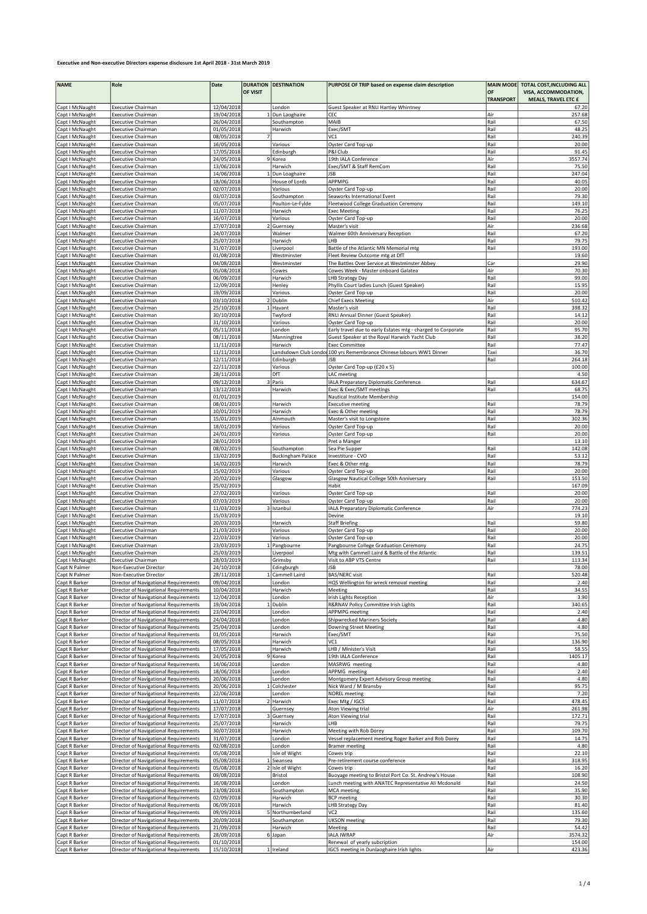| <b>NAME</b>                        | Role                                                                           | Date                     | <b>DURATION</b> | <b>DESTINATION</b>       | PURPOSE OF TRIP based on expense claim description                         |                  | MAIN MODE TOTAL COST, INCLUDING ALL |
|------------------------------------|--------------------------------------------------------------------------------|--------------------------|-----------------|--------------------------|----------------------------------------------------------------------------|------------------|-------------------------------------|
|                                    |                                                                                |                          | OF VISIT        |                          |                                                                            | OF               | VISA, ACCOMMODATION,                |
|                                    |                                                                                |                          |                 |                          |                                                                            | <b>TRANSPORT</b> | MEALS, TRAVEL ETC £                 |
| Capt I McNaught                    | <b>Executive Chairman</b>                                                      | 12/04/2018               |                 | London                   | Guest Speaker at RNLI Hartley Whintney                                     |                  | 67.20                               |
| Capt I McNaught                    | <b>Executive Chairman</b>                                                      | 19/04/2018               |                 | 1 Dun Laoghaire          | CEC                                                                        | Air              | 257.68                              |
| Capt I McNaught                    | <b>Executive Chairman</b><br><b>Executive Chairman</b>                         | 26/04/2018<br>01/05/2018 |                 | Southampton<br>Harwich   | MAIB<br>Exec/SMT                                                           | Rail<br>Rail     | 67.50<br>48.25                      |
| Capt I McNaught<br>Capt I McNaught | <b>Executive Chairman</b>                                                      | 08/05/2018               |                 |                          | VC <sub>1</sub>                                                            | Rail             | 240.39                              |
| Capt I McNaught                    | <b>Executive Chairman</b>                                                      | 16/05/2018               |                 | Various                  | Oyster Card Top-up                                                         | Rail             | 20.00                               |
| Capt I McNaught                    | <b>Executive Chairman</b>                                                      | 17/05/2018               |                 | Edinburgh                | P&I Club                                                                   | Rail             | 91.45                               |
| Capt I McNaught                    | <b>Executive Chairman</b>                                                      | 24/05/2018               |                 | 9 Korea                  | 19th IALA Conference                                                       | Air              | 3557.74                             |
| Capt I McNaught                    | <b>Executive Chairman</b>                                                      | 13/06/2018               |                 | Harwich                  | Exec/SMT & Staff RemCom                                                    | Rail             | 75.50                               |
| Capt I McNaught                    | Executive Chairman                                                             | 14/06/2018               |                 | 1 Dun Loaghaire          | <b>JSB</b>                                                                 | Rail             | 247.04                              |
| Capt I McNaught                    | <b>Executive Chairman</b>                                                      | 18/06/2018               |                 | House of Lords           | APPMPG                                                                     | Rail             | 40.05                               |
| Capt I McNaught                    | <b>Executive Chairman</b>                                                      | 02/07/2018               |                 | Various                  | Oyster Card Top-up                                                         | Rail             | 20.00                               |
| Capt I McNaught                    | <b>Executive Chairman</b>                                                      | 03/07/2018               |                 | Southampton              | Seaworks International Event                                               | Rail             | 79.30                               |
| Capt I McNaught                    | <b>Executive Chairman</b>                                                      | 05/07/2018               |                 | Poulton-Le-Fylde         | Fleetwood College Graduation Ceremony                                      | Rail             | 149.10                              |
| Capt I McNaught                    | <b>Executive Chairman</b>                                                      | 11/07/2018               |                 | Harwich                  | <b>Exec Meeting</b>                                                        | Rail             | 76.25                               |
| Capt I McNaught                    | <b>Executive Chairman</b>                                                      | 16/07/2018               |                 | Various                  | Oyster Card Top-up                                                         | Rail             | 20.00                               |
| Capt I McNaught                    | Executive Chairman                                                             | 17/07/2018               |                 | Guernsey                 | Master's visit                                                             | Air              | 236.68                              |
| Capt I McNaught                    | <b>Executive Chairman</b>                                                      | 24/07/2018<br>25/07/2018 |                 | Walmer                   | Walmer 60th Anniversary Reception<br>LHB                                   | Rail<br>Rail     | 67.20<br>79.75                      |
| Capt I McNaught<br>Capt I McNaught | <b>Executive Chairman</b><br><b>Executive Chairman</b>                         | 31/07/2018               |                 | Harwich<br>Liverpool     | Battle of the Atlantic MN Memorial mtg                                     | Rail             | 193.00                              |
| Capt I McNaught                    | <b>Executive Chairman</b>                                                      | 01/08/2018               |                 | Westminster              | Fleet Review Outcome mtg at DfT                                            |                  | 19.60                               |
| Capt I McNaught                    | <b>Executive Chairman</b>                                                      | 04/08/2018               |                 | Westminster              | The Battles Over Service at Westminster Abbey                              | Car              | 29.90                               |
| Capt I McNaught                    | <b>Executive Chairman</b>                                                      | 05/08/2018               |                 | Cowes                    | Cowes Week - Master onboard Galatea                                        | Air              | 70.30                               |
| Capt I McNaught                    | <b>Executive Chairman</b>                                                      | 06/09/2018               |                 | Harwich                  | LHB Strategy Day                                                           | Rail             | 99.00                               |
| Capt I McNaught                    | <b>Executive Chairman</b>                                                      | 12/09/2018               |                 | Henley                   | Phyllis Court ladies Lunch (Guest Speaker)                                 | Rail             | 15.95                               |
| Capt I McNaught                    | <b>Executive Chairman</b>                                                      | 19/09/2018               |                 | Various                  | Oyster Card Top-up                                                         | Rail             | 20.00                               |
| Capt I McNaught                    | <b>Executive Chairman</b>                                                      | 03/10/2018               |                 | 2 Dublin                 | <b>Chief Execs Meeting</b>                                                 | Air              | 510.42                              |
| Capt I McNaught                    | <b>Executive Chairman</b>                                                      | 25/10/2018               |                 | 1 Havant                 | Master's visit                                                             | Rail             | 398.32                              |
| Capt I McNaught                    | <b>Executive Chairman</b>                                                      | 30/10/2018               |                 | Twyford                  | RNLI Annual Dinner (Guest Speaker)                                         | Rail             | 14.12                               |
| Capt I McNaught                    | <b>Executive Chairman</b>                                                      | 31/10/2018               |                 | Various                  | Oyster Card Top-up                                                         | Rail             | 20.00                               |
| Capt I McNaught                    | <b>Executive Chairman</b>                                                      | 05/11/2018               |                 | London                   | Early travel due to early Estates mtg - charged to Corporate               | Rail             | 95.70                               |
| Capt I McNaught                    | <b>Executive Chairman</b>                                                      | 08/11/2018               |                 | Manningtree              | Guest Speaker at the Royal Harwich Yacht Club                              | Rail             | 38.20                               |
| Capt I McNaught                    | <b>Executive Chairman</b>                                                      | 11/11/2018               |                 | Harwich                  | <b>Exec Committee</b>                                                      | Rail             | 77.47                               |
| Capt I McNaught                    | <b>Executive Chairman</b>                                                      | 11/11/2018               |                 |                          | Landsdown Club Londo 100 yrs Remembrance Chinese labours WW1 Dinner        | Taxi             | 36.70                               |
| Capt I McNaught                    | <b>Executive Chairman</b>                                                      | 12/11/2018               |                 | Edinburgh                | <b>JSB</b>                                                                 | Rail             | 264.18                              |
| Capt I McNaught<br>Capt I McNaught | <b>Executive Chairman</b>                                                      | 22/11/2018<br>28/11/2018 |                 | Various<br>DfT           | Oyster Card Top-up (£20 x 5)                                               |                  | 100.00<br>4.50                      |
| Capt I McNaught                    | <b>Executive Chairman</b><br><b>Executive Chairman</b>                         | 09/12/2018               |                 | 3 Paris                  | LAC meeting<br>IALA Preparatory Diplomatic Conference                      | Rail             | 634.67                              |
| Capt I McNaught                    | <b>Executive Chairman</b>                                                      | 13/12/2018               |                 | Harwich                  | Exec & Exec/SMT meetings                                                   | Rail             | 68.75                               |
| Capt I McNaught                    | <b>Executive Chairman</b>                                                      | 01/01/2019               |                 |                          | Nautical Institute Membership                                              |                  | 154.00                              |
| Capt I McNaught                    | <b>Executive Chairman</b>                                                      | 08/01/2019               |                 | Harwich                  | <b>Executive meeting</b>                                                   | Rail             | 78.79                               |
| Capt I McNaught                    | <b>Executive Chairman</b>                                                      | 10/01/2019               |                 | Harwich                  | Exec & Other meeting                                                       | Rail             | 78.79                               |
| Capt I McNaught                    | <b>Executive Chairman</b>                                                      | 15/01/2019               |                 | Alnmouth                 | Master's visit to Longstone                                                | Rail             | 302.36                              |
| Capt I McNaught                    | <b>Executive Chairman</b>                                                      | 18/01/2019               |                 | Various                  | Oyster Card Top-up                                                         | Rail             | 20.00                               |
| Capt I McNaught                    | <b>Executive Chairman</b>                                                      | 24/01/2019               |                 | Various                  | Oyster Card Top-up                                                         | Rail             | 20.00                               |
| Capt I McNaught                    | <b>Executive Chairman</b>                                                      | 28/01/2019               |                 |                          | Pret a Manger                                                              |                  | 13.10                               |
| Capt I McNaught                    | <b>Executive Chairman</b>                                                      | 08/02/2019               |                 | Southampton              | Sea Pie Supper                                                             | Rail             | 142.08                              |
| Capt I McNaught                    | <b>Executive Chairman</b>                                                      | 13/02/2019               |                 | <b>Buckingham Palace</b> | Investiture - CVO                                                          | Rail             | 53.12                               |
| Capt I McNaught                    | <b>Executive Chairman</b>                                                      | 14/02/2019               |                 | Harwich                  | Exec & Other mtg                                                           | Rail             | 78.79                               |
| Capt I McNaught                    | <b>Executive Chairman</b>                                                      | 15/02/2019               |                 | Various                  | Oyster Card Top-up                                                         | Rail             | 20.00                               |
| Capt I McNaught                    | <b>Executive Chairman</b>                                                      | 20/02/2019               |                 | Glasgow                  | Glasgow Nautical College 50th Anniversary                                  | Rail             | 153.50                              |
| Capt I McNaught                    | <b>Executive Chairman</b>                                                      | 25/02/2019               |                 |                          | Habit                                                                      |                  | 167.09                              |
| Capt I McNaught                    | <b>Executive Chairman</b>                                                      | 27/02/2019               |                 | Various                  | Oyster Card Top-up                                                         | Rail<br>Rail     | 20.00<br>20.00                      |
| Capt I McNaught                    | <b>Executive Chairman</b>                                                      | 07/03/2019               |                 | Various                  | Oyster Card Top-up                                                         |                  | 774.23                              |
| Capt I McNaught<br>Capt I McNaught | <b>Executive Chairman</b><br><b>Executive Chairman</b>                         | 11/03/2019<br>15/03/2019 |                 | Istanbul                 | IALA Preparatory Diplomatic Conference<br>Devine                           | Air              | 19.10                               |
| Capt I McNaught                    | <b>Executive Chairman</b>                                                      | 20/03/2019               |                 | Harwich                  | <b>Staff Briefing</b>                                                      | Rail             | 59.80                               |
| Capt I McNaught                    | <b>Executive Chairman</b>                                                      | 21/03/2019               |                 | Various                  | Oyster Card Top-up                                                         | Rail             | 20.00                               |
| Capt I McNaught                    | <b>Executive Chairman</b>                                                      | 22/03/2019               |                 | Various                  | Oyster Card Top-up                                                         | Rail             | 20.00                               |
| Capt I McNaught                    | <b>Executive Chairman</b>                                                      | 23/03/2019               |                 | 1 Pangbourne             | Pangbourne College Graduation Ceremony                                     | Rail             | 24.75                               |
| Capt I McNaught                    | <b>Executive Chairman</b>                                                      | 25/03/2019               |                 | Liverpool                | Mtg with Cammell Laird & Battle of the Atlantic                            | Rail             | 139.51                              |
| Capt I McNaught                    | <b>Executive Chairman</b>                                                      | 28/03/2019               |                 | Grimsby                  | Visit to ABP VTS Centre                                                    | Rail             | 113.34                              |
| Capt N Palmer                      | Non-Executive Director                                                         | 24/10/2018               |                 | Edingburgh               | JSB                                                                        |                  | 78.00                               |
| Capt N Palmer                      | Non-Executive Director                                                         | 28/11/2018               |                 | 1 Cammell Laird          | <b>BAS/NERC</b> visit                                                      | Rail             | 520.48                              |
| Capt R Barker                      | Director of Navigational Requirements                                          | 09/04/2018               |                 | London                   | HQS Wellington for wreck removal meeting                                   | Rail             | 2.40                                |
| Capt R Barker                      | Director of Navigational Requirements                                          | 10/04/2018               |                 | Harwich                  | Meeting                                                                    | Rail             | 34.55                               |
| Capt R Barker                      | Director of Navigational Requirements                                          | 12/04/2018               |                 | London                   | Irish Lights Reception                                                     | Air              | 3.90                                |
| Capt R Barker                      | Director of Navigational Requirements                                          | 19/04/2018               |                 | 1 Dublin                 | R&RNAV Policy Committee Irish Lights                                       | Rail             | 340.65                              |
| Capt R Barker<br>Capt R Barker     | Director of Navigational Requirements<br>Director of Navigational Requirements | 23/04/2018<br>24/04/2018 |                 | London<br>London         | <b>APPMPG</b> meeting<br>Shipwrecked Mariners Society                      | Rail<br>Rail     | 2.40<br>4.80                        |
| Capt R Barker                      | Director of Navigational Requirements                                          | 25/04/2018               |                 | London                   | <b>Downing Street Meeting</b>                                              | Rail             | 4.80                                |
| Capt R Barker                      | Director of Navigational Requirements                                          | 01/05/2018               |                 | Harwich                  | Exec/SMT                                                                   | Rail             | 75.50                               |
| Capt R Barker                      | Director of Navigational Requirements                                          | 08/05/2018               |                 | Harwich                  | VC1                                                                        | Rail             | 136.90                              |
| Capt R Barker                      | Director of Navigational Requirements                                          | 17/05/2018               |                 | Harwich                  | LHB / Minister's Visit                                                     | Rail             | 58.55                               |
| Capt R Barker                      | Director of Navigational Requirements                                          | 24/05/2018               |                 | 9 Korea                  | 19th IALA Conference                                                       | Rail             | 1405.17                             |
| Capt R Barker                      | Director of Navigational Requirements                                          | 14/06/2018               |                 | London                   | MASRWG meeting                                                             | Rail             | 4.80                                |
| Capt R Barker                      | Director of Navigational Requirements                                          | 18/06/2018               |                 | London                   | APPMG meeting                                                              | Rail             | 2.40                                |
| Capt R Barker                      | Director of Navigational Requirements                                          | 20/06/2018               |                 | London                   | Montgomery Expert Advisory Group meeting                                   | Rail             | 4.80                                |
| Capt R Barker                      | Director of Navigational Requirements                                          | 20/06/2018               |                 | Colchester               | Nick Ward / M Bransby                                                      | Rail             | 95.75                               |
| Capt R Barker                      | Director of Navigational Requirements                                          | 22/06/2018               |                 | London                   | <b>NOREL</b> meeting                                                       | Rail             | 7.20                                |
| Capt R Barker                      | Director of Navigational Requirements                                          | 11/07/2018               |                 | 2 Harwich                | Exec Mtg / IGC5                                                            | Rail             | 478.45                              |
| Capt R Barker                      | Director of Navigational Requirements                                          | 17/07/2018               |                 | Guernsey                 | Aton Viewing trial                                                         | Air              | 261.98                              |
| Capt R Barker                      | Director of Navigational Requirements                                          | 17/07/2018               |                 | Guernsey                 | Aton Viewing trial                                                         | Rail             | 172.71<br>79.75                     |
| Capt R Barker                      | Director of Navigational Requirements<br>Director of Navigational Requirements | 25/07/2018<br>30/07/2018 |                 | Harwich<br>Harwich       | LHB<br>Meeting with Rob Dorey                                              | Rail<br>Rail     | 109.70                              |
| Capt R Barker<br>Capt R Barker     | Director of Navigational Requirements                                          | 31/07/2018               |                 | London                   | Vessel replacement meeting Roger Barker and Rob Dorey                      | Rail             | 14.75                               |
| Capt R Barker                      | Director of Navigational Requirements                                          | 02/08/2018               |                 | London                   | <b>Bramer meeting</b>                                                      | Rail             | 4.80                                |
| Capt R Barker                      | Director of Navigational Requirements                                          | 05/08/2018               |                 | Isle of Wight            | Cowes trip                                                                 | Rail             | 22.10                               |
| Capt R Barker                      | Director of Navigational Requirements                                          | 05/08/2018               |                 | 1 Swansea                | Pre-retirement course conference                                           | Rail             | 318.95                              |
| Capt R Barker                      | Director of Navigational Requirements                                          | 05/08/2018               |                 | 2 Isle of Wight          | Cowes trip                                                                 | Rail             | 16.20                               |
| Capt R Barker                      | Director of Navigational Requirements                                          | 09/08/2018               |                 | Bristol                  | Buoyage meeting to Bristol Port Co. St. Andrew's House                     | Rail             | 108.90                              |
| Capt R Barker                      | Director of Navigational Requirements                                          | 16/08/2018               |                 | London                   | Lunch meeting with ANATEC Representative Ali Mcdonald                      | Rail             | 24.50                               |
| Capt R Barker                      | Director of Navigational Requirements                                          | 23/08/2018               |                 | Southampton              | <b>MCA</b> meeting                                                         | Rail             | 35.90                               |
| Capt R Barker                      | Director of Navigational Requirements                                          | 02/09/2018               |                 | Harwich                  | <b>BCP</b> meeting                                                         | Rail             | 30.30                               |
| Capt R Barker                      | Director of Navigational Requirements                                          | 06/09/2018               |                 | Harwich                  | LHB Strategy Day                                                           | Rail             | 81.40                               |
| Capt R Barker                      | Director of Navigational Requirements                                          | 09/09/2018               |                 | 5 Northumberland         | VC <sub>2</sub>                                                            | Rail             | 135.60                              |
| Capt R Barker                      | Director of Navigational Requirements                                          | 20/09/2018               |                 | Southampton              | <b>UKSON</b> meeting                                                       | Rail             | 79.30                               |
| Capt R Barker                      | Director of Navigational Requirements                                          | 21/09/2018               |                 | Harwich                  | Meeting                                                                    | Rail             | 54.42                               |
| Capt R Barker                      | Director of Navigational Requirements                                          | 28/09/2018               |                 | 6 Japan                  | <b>IALA IWRAP</b>                                                          | Air              | 3574.32<br>154.00                   |
| Capt R Barker<br>Capt R Barker     | Director of Navigational Requirements<br>Director of Navigational Requirements | 01/10/2018<br>15/10/2018 |                 | 1 Ireland                | Renewal of yearly subcription<br>IGC5 meeting in Dunlaoghaire Irish lights | Air              | 423.36                              |
|                                    |                                                                                |                          |                 |                          |                                                                            |                  |                                     |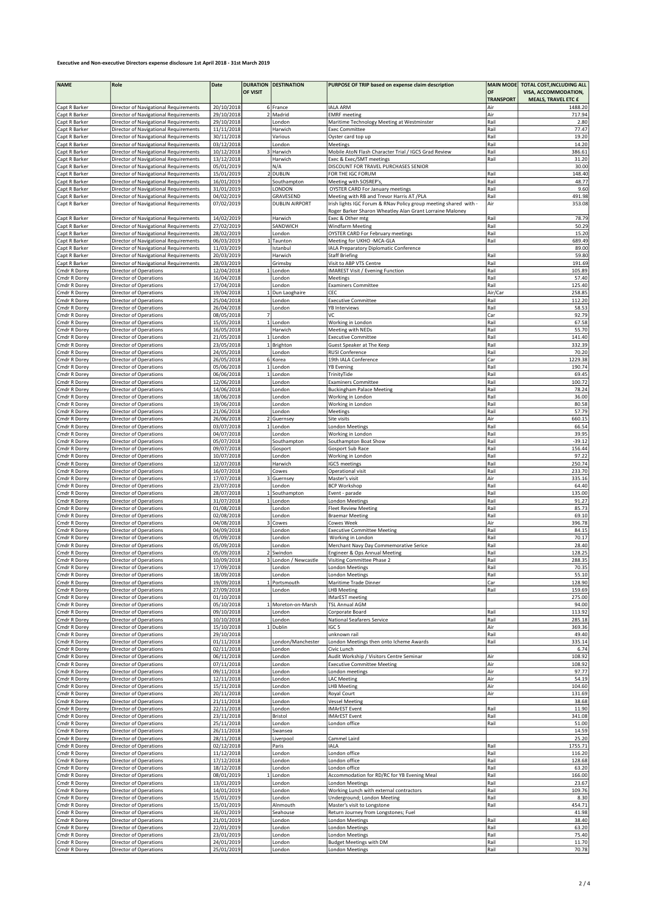| <b>NAME</b>                    | Role                                                                           | Date                     |                | <b>DURATION DESTINATION</b> | PURPOSE OF TRIP based on expense claim description                           | <b>MAIN MODE</b> | TOTAL COST, INCLUDING ALL |
|--------------------------------|--------------------------------------------------------------------------------|--------------------------|----------------|-----------------------------|------------------------------------------------------------------------------|------------------|---------------------------|
|                                |                                                                                |                          | OF VISIT       |                             |                                                                              | OF               | VISA, ACCOMMODATION,      |
|                                |                                                                                |                          |                |                             |                                                                              | <b>TRANSPORT</b> | MEALS, TRAVEL ETC £       |
| Capt R Barker                  | Director of Navigational Requirements                                          | 20/10/2018               |                | 6 France                    | <b>IALA ARM</b>                                                              | Air              | 1488.20                   |
| Capt R Barker                  | Director of Navigational Requirements                                          | 29/10/2018               |                | 2 Madrid                    | <b>EMRF</b> meeting                                                          | Air              | 717.94                    |
| Capt R Barker<br>Capt R Barker | Director of Navigational Requirements<br>Director of Navigational Requirements | 29/10/2018<br>11/11/2018 |                | London<br>Harwich           | Maritime Technology Meeting at Westminster<br><b>Exec Committee</b>          | Rail<br>Rail     | 2.80<br>77.47             |
| Capt R Barker                  | Director of Navigational Requirements                                          | 30/11/2018               |                | Various                     | Oyster card top up                                                           | Rail             | 19.20                     |
| Capt R Barker                  | Director of Navigational Requirements                                          | 03/12/2018               |                | London                      | Meetings                                                                     | Rail             | 14.20                     |
| Capt R Barker                  | Director of Navigational Requirements                                          | 10/12/2018               |                | Harwich                     | Mobile AtoN Flash Character Trial / IGC5 Grad Review                         | Rail             | 386.61                    |
| Capt R Barker                  | Director of Navigational Requirements                                          | 13/12/2018               |                | Harwich                     | Exec & Exec/SMT meetings                                                     | Rail             | 31.20                     |
| Capt R Barker                  | Director of Navigational Requirements                                          | 05/01/2019               |                | N/A                         | DISCOUNT FOR TRAVEL PURCHASES SENIOR                                         |                  | 30.00                     |
| Capt R Barker                  | Director of Navigational Requirements                                          | 15/01/2019               |                | <b>DUBLIN</b>               | FOR THE IGC FORUM                                                            | Rail             | 148.40                    |
| Capt R Barker                  | Director of Navigational Requirements                                          | 16/01/2019               |                | Southampton                 | Meeting with SOSREP's                                                        | Rail             | 48.77                     |
| Capt R Barker                  | Director of Navigational Requirements                                          | 31/01/2019               |                | LONDON                      | <b>OYSTER CARD For January meetings</b>                                      | Rail             | 9.60                      |
| Capt R Barker                  | Director of Navigational Requirements                                          | 04/02/2019               |                | GRAVESEND                   | Meeting with RB and Trevor Harris AT /PLA                                    | Rail             | 491.98                    |
| Capt R Barker                  | Director of Navigational Requirements                                          | 07/02/2019               |                | <b>DUBLIN AIRPORT</b>       | Irish lights IGC Forum & RNav Policy group meeting shared with -             | Air              | 353.08                    |
| Capt R Barker                  | Director of Navigational Requirements                                          | 14/02/2019               |                | Harwich                     | Roger Barker Sharon Wheatley Alan Grant Lorraine Maloney<br>Exec & Other mtg | Rail             | 78.79                     |
| Capt R Barker                  | Director of Navigational Requirements                                          | 27/02/2019               |                | SANDWICH                    | <b>Windfarm Meeting</b>                                                      | Rail             | 50.29                     |
| Capt R Barker                  | Director of Navigational Requirements                                          | 28/02/2019               |                | London                      | <b>OYSTER CARD For February meetings</b>                                     | Rail             | 15.20                     |
| Capt R Barker                  | Director of Navigational Requirements                                          | 06/03/2019               |                | Taunton                     | Meeting for UKHO -MCA-GLA                                                    | Rail             | 689.49                    |
| Capt R Barker                  | Director of Navigational Requirements                                          | 11/03/2019               |                | Istanbul                    | IALA Preparatory Diplomatic Conference                                       |                  | 89.00                     |
| Capt R Barker                  | Director of Navigational Requirements                                          | 20/03/2019               |                | Harwich                     | <b>Staff Briefing</b>                                                        | Rail             | 59.80                     |
| Capt R Barker                  | Director of Navigational Requirements                                          | 28/03/2019               |                | Grimsby                     | Visit to ABP VTS Centre                                                      | Rail             | 191.69                    |
| Cmdr R Dorey                   | Director of Operations                                                         | 12/04/2018               |                | London                      | <b>IMAREST Visit / Evening Function</b>                                      | Rail             | 105.89                    |
| Cmdr R Dorey                   | Director of Operations                                                         | 16/04/2018               |                | London                      | Meetings                                                                     | Rail             | 57.40                     |
| Cmdr R Dorey                   | Director of Operations                                                         | 17/04/2018               |                | London                      | <b>Examiners Committee</b>                                                   | Rail             | 125.40                    |
| Cmdr R Dorey                   | Director of Operations                                                         | 19/04/2018               |                | Dun Laoghaire               | CEC                                                                          | Air/Car          | 258.85                    |
| Cmdr R Dorey                   | Director of Operations                                                         | 25/04/2018               |                | London                      | <b>Executive Committee</b>                                                   | Rail             | 112.20                    |
| Cmdr R Dorey<br>Cmdr R Dorey   | Director of Operations<br>Director of Operations                               | 26/04/2018<br>08/05/2018 | $\overline{7}$ | London                      | <b>YB Interviews</b><br>VC                                                   | Rail<br>Car      | 58.53<br>92.79            |
| Cmdr R Dorey                   | Director of Operations                                                         | 15/05/2018               |                | 1 London                    | Working in London                                                            | Rail             | 67.58                     |
| Cmdr R Dorey                   | Director of Operations                                                         | 16/05/2018               |                | Harwich                     | Meeting with NEDs                                                            | Rail             | 55.70                     |
| Cmdr R Dorey                   | Director of Operations                                                         | 21/05/2018               |                | 1 London                    | <b>Executive Committee</b>                                                   | Rail             | 141.40                    |
| Cmdr R Dorey                   | Director of Operations                                                         | 23/05/2018               |                | 1 Brighton                  | Guest Speaker at The Keep                                                    | Rail             | 332.39                    |
| Cmdr R Dorey                   | Director of Operations                                                         | 24/05/2018               |                | London                      | <b>RUSI Conference</b>                                                       | Rail             | 70.20                     |
| Cmdr R Dorey                   | Director of Operations                                                         | 26/05/2018               |                | 6 Korea                     | 19th IALA Conference                                                         | Car              | 1229.38                   |
| Cmdr R Dorey                   | Director of Operations                                                         | 05/06/2018               |                | 1 London                    | <b>YB Evening</b>                                                            | Rail             | 190.74                    |
| Cmdr R Dorey                   | Director of Operations                                                         | 06/06/2018               |                | 1 London                    | TrinityTide                                                                  | Rail             | 69.45                     |
| Cmdr R Dorey                   | Director of Operations                                                         | 12/06/2018               |                | London                      | <b>Examiners Committee</b>                                                   | Rail             | 100.72                    |
| Cmdr R Dorey                   | Director of Operations                                                         | 14/06/2018               |                | London                      | <b>Buckingham Palace Meeting</b>                                             | Rail             | 78.24                     |
| Cmdr R Dorey                   | Director of Operations                                                         | 18/06/2018               |                | London                      | Working in London                                                            | Rail             | 36.00                     |
| Cmdr R Dorey                   | Director of Operations                                                         | 19/06/2018               |                | London                      | Working in London                                                            | Rail             | 80.58<br>57.79            |
| Cmdr R Dorey<br>Cmdr R Dorey   | Director of Operations<br>Director of Operations                               | 21/06/2018<br>26/06/2018 |                | London<br>2 Guernsey        | Meetings<br>Site visits                                                      | Rail<br>Air      | 660.15                    |
| Cmdr R Dorey                   | Director of Operations                                                         | 03/07/2018               | $1\vert$       | London                      | London Meetings                                                              | Rail             | 66.54                     |
| Cmdr R Dorey                   | Director of Operations                                                         | 04/07/2018               |                | London                      | Working in London                                                            | Rail             | 39.95                     |
| Cmdr R Dorey                   | Director of Operations                                                         | 05/07/2018               |                | Southampton                 | Southampton Boat Show                                                        | Rail             | $-39.12$                  |
| Cmdr R Dorey                   | Director of Operations                                                         | 09/07/2018               |                | Gosport                     | Gosport Sub Race                                                             | Rail             | 156.44                    |
| Cmdr R Dorey                   | Director of Operations                                                         | 10/07/2018               |                | London                      | Working in London                                                            | Rail             | 97.22                     |
| Cmdr R Dorey                   | Director of Operations                                                         | 12/07/2018               |                | Harwich                     | <b>IGC5</b> meetings                                                         | Rail             | 250.74                    |
| Cmdr R Dorey                   | Director of Operations                                                         | 16/07/2018               |                | Cowes                       | Operational visit                                                            | Rail             | 233.70                    |
| Cmdr R Dorey                   | Director of Operations                                                         | 17/07/2018               |                | 3 Guernsey                  | Master's visit                                                               | Air              | 335.16                    |
| Cmdr R Dorey                   | Director of Operations                                                         | 23/07/2018               |                | London                      | <b>BCP Workshop</b>                                                          | Rail             | 64.40                     |
| Cmdr R Dorey                   | Director of Operations                                                         | 28/07/2018               |                | 1 Southampton               | Event - parade                                                               | Rail             | 135.00                    |
| Cmdr R Dorey                   | Director of Operations                                                         | 31/07/2018               |                | 1 London                    | <b>London Meetings</b>                                                       | Rail             | 91.27                     |
| Cmdr R Dorey<br>Cmdr R Dorey   | Director of Operations                                                         | 01/08/2018<br>02/08/2018 |                | London<br>London            | <b>Fleet Review Meeting</b><br><b>Braemar Meeting</b>                        | Rail<br>Rail     | 85.73<br>69.10            |
| Cmdr R Dorey                   | Director of Operations<br>Director of Operations                               | 04/08/2018               | 3              | Cowes                       | Cowes Week                                                                   | Air              | 396.78                    |
| Cmdr R Dorey                   | Director of Operations                                                         | 04/09/2018               |                | London                      | <b>Executive Committee Meeting</b>                                           | Rail             | 84.15                     |
| Cmdr R Dorey                   | Director of Operations                                                         | 05/09/2018               |                | London                      | Working in London                                                            | Rail             | 70.17                     |
| Cmdr R Dorey                   | Director of Operations                                                         | 05/09/2018               |                | London                      | Merchant Navy Day Commemorative Serice                                       | Rail             | 28.40                     |
| Cmdr R Dorey                   | Director of Operations                                                         | 05/09/2018               |                | 2 Swindon                   | Engineer & Ops Annual Meeting                                                | Rail             | 128.25                    |
| Cmdr R Dorey                   | Director of Operations                                                         | 10/09/2018               |                | 3 London / Newcastle        | Visiting Committee Phase 2                                                   | Rail             | 288.35                    |
| Cmdr R Dorey                   | Director of Operations                                                         | 17/09/2018               |                | London                      | London Meetings                                                              | Rail             | 70.35                     |
| Cmdr R Dorey                   | Director of Operations                                                         | 18/09/2018               |                | London                      | <b>London Meetings</b>                                                       | Rail             | 55.10                     |
| Cmdr R Dorey                   | Director of Operations                                                         | 19/09/2018               |                | 1 Portsmouth                | Maritime Trade Dinner                                                        | Car              | 128.90                    |
| Cmdr R Dorey                   | Director of Operations                                                         | 27/09/2018               |                | London                      | <b>LHB Meeting</b>                                                           | Rail             | 159.69                    |
| Cmdr R Dorey                   | Director of Operations                                                         | 01/10/2018               |                | 1 Moreton-on-Marsh          | <b>IMarEST</b> meeting<br><b>TSL Annual AGM</b>                              |                  | 275.00                    |
| Cmdr R Dorey<br>Cmdr R Dorey   | Director of Operations<br>Director of Operations                               | 05/10/2018<br>09/10/2018 |                | London                      | Corporate Board                                                              | Rail             | 94.00<br>113.92           |
| Cmdr R Dorey                   | Director of Operations                                                         | 10/10/2018               |                | London                      | National Seafarers Service                                                   | Rail             | 285.18                    |
| Cmdr R Dorey                   | Director of Operations                                                         | 15/10/2018               |                | Dublin                      | IGC 5                                                                        | Air              | 369.36                    |
| Cmdr R Dorey                   | Director of Operations                                                         | 29/10/2018               |                |                             | unknown rail                                                                 | Rail             | 49.40                     |
| Cmdr R Dorey                   | Director of Operations                                                         | 01/11/2018               |                | London/Manchester           | London Meetings then onto Icheme Awards                                      | Rail             | 335.14                    |
| Cmdr R Dorey                   | Director of Operations                                                         | 02/11/2018               |                | London                      | Civic Lunch                                                                  |                  | 6.74                      |
| Cmdr R Dorey                   | Director of Operations                                                         | 06/11/2018               |                | London                      | Audit Workship / Visitors Centre Seminar                                     | Air              | 108.92                    |
| Cmdr R Dorey                   | Director of Operations                                                         | 07/11/2018               |                | London                      | <b>Executive Committee Meeting</b>                                           | Air              | 108.92                    |
| Cmdr R Dorey                   | Director of Operations                                                         | 09/11/2018               |                | London                      | London meetings                                                              | Air              | 97.77                     |
| Cmdr R Dorey                   | Director of Operations                                                         | 12/11/2018               |                | London                      | <b>LAC Meeting</b>                                                           | Air              | 54.19                     |
| Cmdr R Dorey<br>Cmdr R Dorey   | Director of Operations<br>Director of Operations                               | 15/11/2018<br>20/11/2018 |                | London<br>London            | <b>LHB Meeting</b><br>Royal Court                                            | Air<br>Air       | 104.60<br>131.69          |
| Cmdr R Dorey                   | Director of Operations                                                         | 21/11/2018               |                | London                      | <b>Vessel Meeting</b>                                                        |                  | 38.68                     |
| Cmdr R Dorey                   | Director of Operations                                                         | 22/11/2018               |                | London                      | <b>IMArEST Event</b>                                                         | Rail             | 11.90                     |
| Cmdr R Dorey                   | Director of Operations                                                         | 23/11/2018               |                | Bristol                     | <b>IMArEST Event</b>                                                         | Rail             | 341.08                    |
| Cmdr R Dorey                   | Director of Operations                                                         | 25/11/2018               |                | London                      | London office                                                                | Rail             | 51.00                     |
| Cmdr R Dorey                   | Director of Operations                                                         | 26/11/2018               |                | Swansea                     |                                                                              |                  | 14.59                     |
| Cmdr R Dorey                   | Director of Operations                                                         | 28/11/2018               |                | Liverpool                   | Cammel Laird                                                                 |                  | 25.20                     |
| Cmdr R Dorey                   | Director of Operations                                                         | 02/12/2018               |                | Paris                       | <b>IALA</b>                                                                  | Rail             | 1755.71                   |
| Cmdr R Dorey                   | Director of Operations                                                         | 11/12/2018               |                | London                      | London office                                                                | Rail             | 116.20                    |
| Cmdr R Dorey                   | Director of Operations                                                         | 17/12/2018               |                | London                      | London office                                                                | Rail             | 128.68                    |
| Cmdr R Dorey                   | Director of Operations                                                         | 18/12/2018               |                | London                      | London office                                                                | Rail             | 63.20                     |
| Cmdr R Dorey<br>Cmdr R Dorey   | Director of Operations                                                         | 08/01/2019<br>13/01/2019 |                | 1 London                    | Accommodation for RD/RC for YB Evening Meal                                  | Rail<br>Rail     | 166.00<br>23.67           |
| Cmdr R Dorey                   | Director of Operations<br>Director of Operations                               | 14/01/2019               |                | London<br>London            | London Meetings<br>Working Lunch with external contractors                   | Rail             | 109.76                    |
| Cmdr R Dorey                   | Director of Operations                                                         | 15/01/2019               |                | London                      | Underground; London Meeting                                                  | Rail             | 8.30                      |
| Cmdr R Dorey                   | Director of Operations                                                         | 15/01/2019               |                | Alnmouth                    | Master's visit to Longstone                                                  | Rail             | 454.71                    |
| Cmdr R Dorey                   | Director of Operations                                                         | 16/01/2019               |                | Seahouse                    | Return Journey from Longstones; Fuel                                         |                  | 41.98                     |
| Cmdr R Dorey                   | Director of Operations                                                         | 21/01/2019               |                | London                      | London Meetings                                                              | Rail             | 38.40                     |
| Cmdr R Dorey                   | Director of Operations                                                         | 22/01/2019               |                | London                      | London Meetings                                                              | Rail             | 63.20                     |
| Cmdr R Dorey                   | Director of Operations                                                         | 23/01/2019               |                | London                      | London Meetings                                                              | Rail             | 75.40                     |
| Cmdr R Dorey                   | Director of Operations                                                         | 24/01/2019               |                | London                      | Budget Meetings with DM                                                      | Rail             | 11.70                     |
| Cmdr R Dorey                   | Director of Operations                                                         | 25/01/2019               |                | London                      | <b>London Meetings</b>                                                       | Rail             | 70.78                     |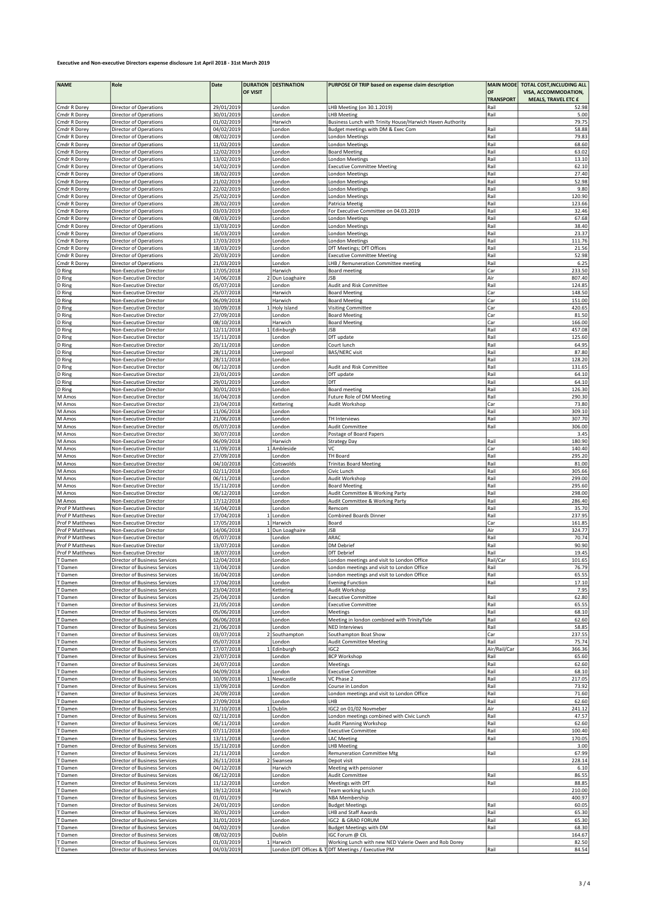| <b>NAME</b>           | Role                                                           | Date                     | <b>DURATION</b> | <b>DESTINATION</b>    | PURPOSE OF TRIP based on expense claim description                                       | <b>MAIN MODE</b> | TOTAL COST, INCLUDING ALL  |
|-----------------------|----------------------------------------------------------------|--------------------------|-----------------|-----------------------|------------------------------------------------------------------------------------------|------------------|----------------------------|
|                       |                                                                |                          | OF VISIT        |                       |                                                                                          | OF               | VISA, ACCOMMODATION,       |
|                       |                                                                |                          |                 |                       |                                                                                          | <b>TRANSPORT</b> | <b>MEALS, TRAVEL ETC £</b> |
| Cmdr R Dorey          | Director of Operations                                         | 29/01/2019               |                 | London                | LHB Meeting (on 30.1.2019)                                                               | Rail             | 52.98                      |
| Cmdr R Dorey          | Director of Operations                                         | 30/01/2019               |                 | London                | <b>LHB Meeting</b>                                                                       | Rail             | 5.00                       |
| Cmdr R Dorey          | Director of Operations                                         | 01/02/2019               |                 | Harwich               | Business Lunch with Trinity House/Harwich Haven Authority                                |                  | 79.75                      |
| Cmdr R Dorey          | Director of Operations                                         | 04/02/2019               |                 | London                | Budget meetings with DM & Exec Com                                                       | Rail             | 58.88                      |
| Cmdr R Dorey          | Director of Operations                                         | 08/02/2019               |                 | London                | London Meetings                                                                          | Rail             | 79.83                      |
| Cmdr R Dorey          | Director of Operations                                         | 11/02/2019               |                 | London                | <b>London Meetings</b>                                                                   | Rail             | 68.60                      |
| Cmdr R Dorey          | Director of Operations                                         | 12/02/2019               |                 | London                | <b>Board Meeting</b>                                                                     | Rail             | 63.02                      |
| Cmdr R Dorey          | Director of Operations                                         | 13/02/2019               |                 | London                | London Meetings                                                                          | Rail             | 13.10                      |
| Cmdr R Dorey          | Director of Operations                                         | 14/02/2019               |                 | London                | <b>Executive Committee Meeting</b>                                                       | Rail             | 62.10                      |
| Cmdr R Dorey          | Director of Operations                                         | 18/02/2019               |                 | London                | <b>London Meetings</b>                                                                   | Rail             | 27.40                      |
| Cmdr R Dorey          | Director of Operations                                         | 21/02/2019               |                 | London                | <b>London Meetings</b>                                                                   | Rail             | 52.98                      |
| Cmdr R Dorey          | Director of Operations                                         | 22/02/2019               |                 | London                | London Meetings                                                                          | Rail             | 9.80                       |
| Cmdr R Dorey          | Director of Operations                                         | 25/02/2019               |                 | London                | <b>London Meetings</b>                                                                   | Rail             | 120.90                     |
| Cmdr R Dorey          | Director of Operations                                         | 28/02/2019               |                 | London                | Patricia Meetig                                                                          | Rail             | 123.66                     |
| Cmdr R Dorey          | Director of Operations                                         | 03/03/2019               |                 | London                | For Executive Committee on 04.03.2019                                                    | Rail             | 32.46                      |
| Cmdr R Dorey          | Director of Operations                                         | 08/03/2019               |                 | London                | <b>London Meetings</b>                                                                   | Rail             | 67.68                      |
| Cmdr R Dorey          | Director of Operations                                         | 13/03/2019               |                 | London                | London Meetings                                                                          | Rail             | 38.40                      |
| Cmdr R Dorey          | <b>Director of Operations</b>                                  | 16/03/2019               |                 | London                | <b>London Meetings</b>                                                                   | Rail             | 23.37                      |
| Cmdr R Dorey          | Director of Operations                                         | 17/03/2019               |                 | London                | <b>London Meetings</b>                                                                   | Rail             | 111.76                     |
| Cmdr R Dorey          | Director of Operations                                         | 18/03/2019               |                 | London                | DfT Meetings; DfT Offices                                                                | Rail             | 21.56                      |
| Cmdr R Dorey          | Director of Operations                                         | 20/03/2019               |                 | London                | <b>Executive Committee Meeting</b>                                                       | Rail             | 52.98                      |
| Cmdr R Dorey          | Director of Operations                                         | 21/03/2019               |                 | London                | LHB / Remuneration Committee meeting                                                     | Rail             | 6.25                       |
|                       | Non-Executive Director                                         | 17/05/2018               |                 | Harwich               | Board meeting                                                                            | Car              | 233.50                     |
| D Ring                |                                                                |                          |                 |                       |                                                                                          | Air              | 807.40                     |
| D Ring                | Non-Executive Director                                         | 14/06/2018               |                 | Dun Loaghaire         | JSB                                                                                      |                  | 124.85                     |
| D Ring                | Non-Executive Director                                         | 05/07/2018               |                 | London                | Audit and Risk Committee                                                                 | Rail             |                            |
| D Ring                | Non-Executive Director                                         | 25/07/2018               |                 | Harwich               | <b>Board Meeting</b>                                                                     | Car              | 148.50                     |
| D Ring                | Non-Executive Director                                         | 06/09/2018               |                 | Harwich               | <b>Board Meeting</b>                                                                     | Car              | 151.00                     |
| D Ring                | Non-Executive Director                                         | 10/09/2018               |                 | Holy Island           | <b>Visiting Committee</b>                                                                | Car              | 420.65                     |
| D Ring                | Non-Executive Director                                         | 27/09/2018               |                 | London                | <b>Board Meeting</b>                                                                     | Car              | 81.50                      |
| D Ring                | Non-Executive Director                                         | 08/10/2018               |                 | Harwich               | <b>Board Meeting</b>                                                                     | Car              | 166.00                     |
| D Ring                | Non-Executive Director                                         | 12/11/2018               |                 | 1 Edinburgh           | JSB                                                                                      | Rail             | 457.08                     |
| D Ring                | Non-Executive Director                                         | 15/11/2018               |                 | London                | DfT update                                                                               | Rail             | 125.60                     |
| D Ring                | Non-Executive Director                                         | 20/11/2018               |                 | London                | Court lunch                                                                              | Rail             | 64.95                      |
| D Ring                | Non-Executive Director                                         | 28/11/2018               |                 | Liverpool             | <b>BAS/NERC</b> visit                                                                    | Rail             | 87.80                      |
| D Ring                | Non-Executive Director                                         | 28/11/2018               |                 | London                |                                                                                          | Rail             | 128.20                     |
| D Ring                | Non-Executive Director                                         | 06/12/2018               |                 | London                | Audit and Risk Committee                                                                 | Rail             | 131.65                     |
| D Ring                | Non-Executive Director                                         | 23/01/2019               |                 | London                | DfT update                                                                               | Rail             | 64.10                      |
| D Ring                | Non-Executive Director                                         | 29/01/2019               |                 | London                | DfT                                                                                      | Rail             | 64.10                      |
| D Ring                | Non-Executive Director                                         | 30/01/2019               |                 | London                | Board meeting                                                                            | Rail             | 126.30                     |
| M Amos                | Non-Executive Director                                         | 16/04/2018               |                 | London                | Future Role of DM Meeting                                                                | Rail             | 290.30                     |
| M Amos                | Non-Executive Director                                         | 23/04/2018               |                 | Kettering             | Audit Workshop                                                                           | Car              | 73.80                      |
| M Amos                | Non-Executive Director                                         | 11/06/2018               |                 | London                |                                                                                          | Rail             | 309.10                     |
| M Amos                | Non-Executive Director                                         | 21/06/2018               |                 | London                | TH Interviews                                                                            | Rail             | 307.70                     |
| M Amos                | Non-Executive Director                                         | 05/07/2018               |                 | London                | Audit Committee                                                                          | Rail             | 306.00                     |
| M Amos                | Non-Executive Director                                         | 30/07/2018               |                 | London                | Postage of Board Papers                                                                  |                  | 3.45                       |
| M Amos                | Non-Executive Director                                         | 06/09/2018               |                 | Harwich               | <b>Strategy Day</b>                                                                      | Rail             | 180.90                     |
| M Amos                | Non-Executive Director                                         | 11/09/2018               |                 | Ambleside             | VC                                                                                       | Car              | 140.40                     |
| M Amos                | Non-Executive Director                                         | 27/09/2018               |                 | London                | TH Board                                                                                 | Rail             | 295.20                     |
| M Amos                | Non-Executive Director                                         | 04/10/2018               |                 | Cotswolds             | <b>Trinitas Board Meeting</b>                                                            | Rail             | 81.00                      |
| M Amos                | Non-Executive Director                                         | 02/11/2018               |                 | London                | Civic Lunch                                                                              | Rail             | 305.66                     |
| M Amos                | Non-Executive Director                                         | 06/11/2018               |                 | London                | Audit Workshop                                                                           | Rail             | 299.00                     |
| M Amos                | Non-Executive Director                                         | 15/11/2018               |                 | London                | <b>Board Meeting</b>                                                                     | Rail             | 295.60                     |
| M Amos                | Non-Executive Director                                         | 06/12/2018               |                 | London                | Audit Committee & Working Party                                                          | Rail             | 298.00                     |
| M Amos                | Non-Executive Director                                         | 17/12/2018               |                 | London                | Audit Committee & Working Party                                                          | Rail             | 286.40                     |
| Prof P Matthews       | Non-Executive Director                                         | 16/04/2018               |                 | London                | Remcom                                                                                   | Rail             | 35.70                      |
| Prof P Matthews       | Non-Executive Director                                         | 17/04/2018               |                 | 1 London              | <b>Combined Boards Dinner</b>                                                            | Rail             | 237.95                     |
| Prof P Matthews       | Non-Executive Director                                         | 17/05/2018               |                 | 1 Harwich             | Board                                                                                    | Car              | 161.85                     |
| Prof P Matthews       | Non-Executive Director                                         | 14/06/2018               |                 | 1 Dun Loaghaire       | JSB                                                                                      | Air              | 324.77                     |
| Prof P Matthews       | Non-Executive Director                                         | 05/07/2018               |                 | London                | ARAC                                                                                     | Rail             | 70.74                      |
| Prof P Matthews       | Non-Executive Director                                         | 13/07/2018               |                 | London                | DM Debrief                                                                               | Rail             | 90.90                      |
| Prof P Matthews       | Non-Executive Director                                         | 18/07/2018               |                 | London                | <b>DfT</b> Debrief                                                                       | Rail             | 19.45                      |
| <b>Damen</b>          | Director of Business Services                                  | 12/04/2018               |                 | London                | London meetings and visit to London Office                                               | Rail/Car         | 101.65                     |
|                       |                                                                |                          |                 |                       |                                                                                          |                  |                            |
| Damen                 | Director of Business Services                                  | 13/04/2018<br>16/04/2018 |                 | London                | London meetings and visit to London Office<br>London meetings and visit to London Office | Rail             | 76.79                      |
| <b>Damen</b><br>Damen | Director of Business Services<br>Director of Business Services | 17/04/2018               |                 | London<br>London      | <b>Evening Function</b>                                                                  | Rail<br>Rail     | 65.55<br>17.10             |
| <b>Damen</b>          | Director of Business Services                                  | 23/04/2018               |                 | Kettering             | Audit Workshop                                                                           |                  | 7.95                       |
|                       | Director of Business Services                                  | 25/04/2018               |                 |                       | <b>Executive Committee</b>                                                               |                  | 62.80                      |
| Damen                 |                                                                | 21/05/2018               |                 | London                |                                                                                          | Rail<br>Rail     | 65.55                      |
| Damen                 | Director of Business Services                                  |                          |                 | London                | <b>Executive Committee</b>                                                               |                  |                            |
| Damen                 | Director of Business Services<br>Director of Business Services | 05/06/2018<br>06/06/2018 |                 | London                | Meetings<br>Meeting in london combined with TrinityTide                                  | Rail<br>Rail     | 68.10<br>62.60             |
| Damen                 |                                                                |                          |                 | London                |                                                                                          | Rail             |                            |
| Damen                 | Director of Business Services                                  | 21/06/2018               |                 | London                | <b>NED Interviews</b><br>Southampton Boat Show                                           |                  | 58.85                      |
| Damen<br>Damen        | Director of Business Services<br>Director of Business Services | 03/07/2018<br>05/07/2018 |                 | Southampton<br>London | <b>Audit Committee Meeting</b>                                                           | Car<br>Rail      | 237.55<br>75.74            |
| Damen                 | Director of Business Services                                  | 17/07/2018               |                 | 1 Edinburgh           | IGC <sub>2</sub>                                                                         | Air/Rail/Car     | 366.36                     |
| Damen                 | Director of Business Services                                  | 23/07/2018               |                 | London                | <b>BCP Workshop</b>                                                                      | Rail             | 65.60                      |
| Damen                 | Director of Business Services                                  | 24/07/2018               |                 | London                | Meetings                                                                                 | Rail             | 62.60                      |
| Damen                 | Director of Business Services                                  | 04/09/2018               |                 | London                | <b>Executive Committee</b>                                                               | Rail             | 68.10                      |
| Damen                 | Director of Business Services                                  | 10/09/2018               |                 | Newcastle             | VC Phase 2                                                                               | Rail             | 217.05                     |
|                       |                                                                |                          |                 |                       |                                                                                          | Rail             |                            |
| Damen<br>Damen        | Director of Business Services<br>Director of Business Services | 13/09/2018<br>24/09/2018 |                 | London<br>London      | Course in London                                                                         | Rail             | 73.92<br>71.60             |
| Damen                 | Director of Business Services                                  | 27/09/2018               |                 | London                | London meetings and visit to London Office<br>LHB                                        | Rail             | 62.60                      |
| Damen                 | Director of Business Services                                  | 31/10/2018               |                 | 1 Dublin              | IGC2 on 01/02 Novmeber                                                                   | Air              | 241.12                     |
|                       |                                                                | 02/11/2018               |                 |                       |                                                                                          |                  | 47.57                      |
| Damen                 | Director of Business Services                                  |                          |                 | London                | London meetings combined with Civic Lunch                                                | Rail             |                            |
| Damen                 | Director of Business Services                                  | 06/11/2018               |                 | London                | Audit Planning Workshop                                                                  | Rail             | 62.60                      |
| Damen                 | Director of Business Services                                  | 07/11/2018               |                 | London                | <b>Executive Committee</b>                                                               | Rail             | 100.40                     |
| Damen                 | Director of Business Services                                  | 13/11/2018               |                 | London                | <b>LAC Meeting</b>                                                                       | Rail             | 170.05                     |
| Damen                 | Director of Business Services                                  | 15/11/2018               |                 | London                | <b>LHB Meeting</b>                                                                       |                  | 3.00                       |
| Damen                 | Director of Business Services                                  | 21/11/2018               |                 | London                | <b>Remuneration Committee Mtg</b>                                                        | Rail             | 67.99                      |
| Damen                 | Director of Business Services                                  | 26/11/2018               |                 | 2 Swansea             | Depot visit                                                                              |                  | 228.14                     |
| Damen                 | Director of Business Services                                  | 04/12/2018               |                 | Harwich               | Meeting with pensioner                                                                   |                  | 6.10                       |
| <b>Damen</b>          | Director of Business Services                                  | 06/12/2018               |                 | London                | Audit Committee                                                                          | Rail             | 86.55                      |
| Damen                 | Director of Business Services                                  | 11/12/2018               |                 | London                | Meetings with DfT                                                                        | Rail             | 88.85                      |
| Damen                 | Director of Business Services                                  | 19/12/2018               |                 | Harwich               | Team working lunch                                                                       |                  | 210.00                     |
| Damen                 | Director of Business Services                                  | 01/01/2019               |                 |                       | <b>NBA Membership</b>                                                                    |                  | 400.97                     |
| <b>Damen</b>          | Director of Business Services                                  | 24/01/2019               |                 | London                | <b>Budget Meetings</b>                                                                   | Rail             | 60.05                      |
| Damen                 | Director of Business Services                                  | 30/01/2019               |                 | London                | LHB and Staff Awards                                                                     | Rail             | 65.30                      |
| Damen                 | Director of Business Services                                  | 31/01/2019               |                 | London                | IGC2 & GRAD FORUM                                                                        | Rail             | 65.30                      |
| Damen                 | Director of Business Services                                  | 04/02/2019               |                 | London                | <b>Budget Meetings with DM</b>                                                           | Rail             | 68.30                      |
| Damen                 | Director of Business Services                                  | 08/02/2019               |                 | Dublin                | IGC Forum @ CIL                                                                          |                  | 164.67                     |
| T Damen               | Director of Business Services                                  | 01/03/2019               |                 | 1 Harwich             | Working Lunch with new NED Valerie Owen and Rob Dorey                                    |                  | 82.50                      |
| T Damen               | Director of Business Services                                  | 04/03/2019               |                 |                       | London (DfT Offices & T DfT Meetings / Executive PM                                      | Rail             | 84.54                      |